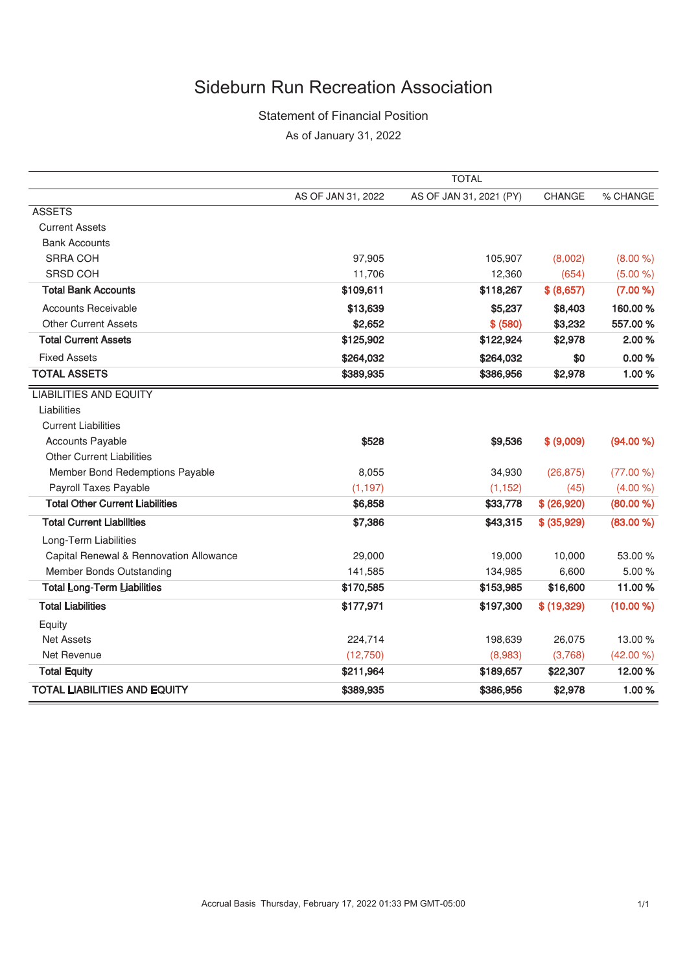## Sideburn Run Recreation Association

#### Statement of Financial Position

As of January 31, 2022

|                                         | <b>TOTAL</b>       |                         |               |           |
|-----------------------------------------|--------------------|-------------------------|---------------|-----------|
|                                         | AS OF JAN 31, 2022 | AS OF JAN 31, 2021 (PY) | <b>CHANGE</b> | % CHANGE  |
| <b>ASSETS</b>                           |                    |                         |               |           |
| <b>Current Assets</b>                   |                    |                         |               |           |
| <b>Bank Accounts</b>                    |                    |                         |               |           |
| <b>SRRA COH</b>                         | 97,905             | 105,907                 | (8,002)       | (8.00 %)  |
| <b>SRSD COH</b>                         | 11,706             | 12,360                  | (654)         | (5.00 %)  |
| <b>Total Bank Accounts</b>              | \$109,611          | \$118,267               | \$ (8,657)    | (7.00 %)  |
| <b>Accounts Receivable</b>              | \$13,639           | \$5,237                 | \$8,403       | 160.00%   |
| <b>Other Current Assets</b>             | \$2,652            | \$ (580)                | \$3,232       | 557.00 %  |
| <b>Total Current Assets</b>             | \$125,902          | \$122,924               | \$2,978       | 2.00%     |
| <b>Fixed Assets</b>                     | \$264,032          | \$264,032               | \$0           | 0.00%     |
| <b>TOTAL ASSETS</b>                     | \$389,935          | \$386,956               | \$2,978       | 1.00%     |
| <b>LIABILITIES AND EQUITY</b>           |                    |                         |               |           |
| Liabilities                             |                    |                         |               |           |
| <b>Current Liabilities</b>              |                    |                         |               |           |
| <b>Accounts Payable</b>                 | \$528              | \$9,536                 | \$ (9,009)    | (94.00 %) |
| <b>Other Current Liabilities</b>        |                    |                         |               |           |
| Member Bond Redemptions Payable         | 8,055              | 34,930                  | (26, 875)     | (77.00 %) |
| Payroll Taxes Payable                   | (1, 197)           | (1, 152)                | (45)          | (4.00 %)  |
| <b>Total Other Current Liabilities</b>  | \$6,858            | \$33,778                | \$ (26,920)   | (80.00 %) |
| <b>Total Current Liabilities</b>        | \$7,386            | \$43,315                | \$ (35,929)   | (83.00 %) |
| Long-Term Liabilities                   |                    |                         |               |           |
| Capital Renewal & Rennovation Allowance | 29,000             | 19,000                  | 10,000        | 53.00 %   |
| Member Bonds Outstanding                | 141,585            | 134,985                 | 6,600         | 5.00 %    |
| <b>Total Long-Term Liabilities</b>      | \$170,585          | \$153,985               | \$16,600      | 11.00%    |
| <b>Total Liabilities</b>                | \$177,971          | \$197,300               | \$(19,329)    | (10.00 %) |
| Equity                                  |                    |                         |               |           |
| <b>Net Assets</b>                       | 224,714            | 198,639                 | 26,075        | 13.00 %   |
| Net Revenue                             | (12,750)           | (8,983)                 | (3,768)       | (42.00 %) |
| <b>Total Equity</b>                     | \$211,964          | \$189,657               | \$22,307      | 12.00%    |
| <b>TOTAL LIABILITIES AND EQUITY</b>     | \$389,935          | \$386,956               | \$2,978       | 1.00%     |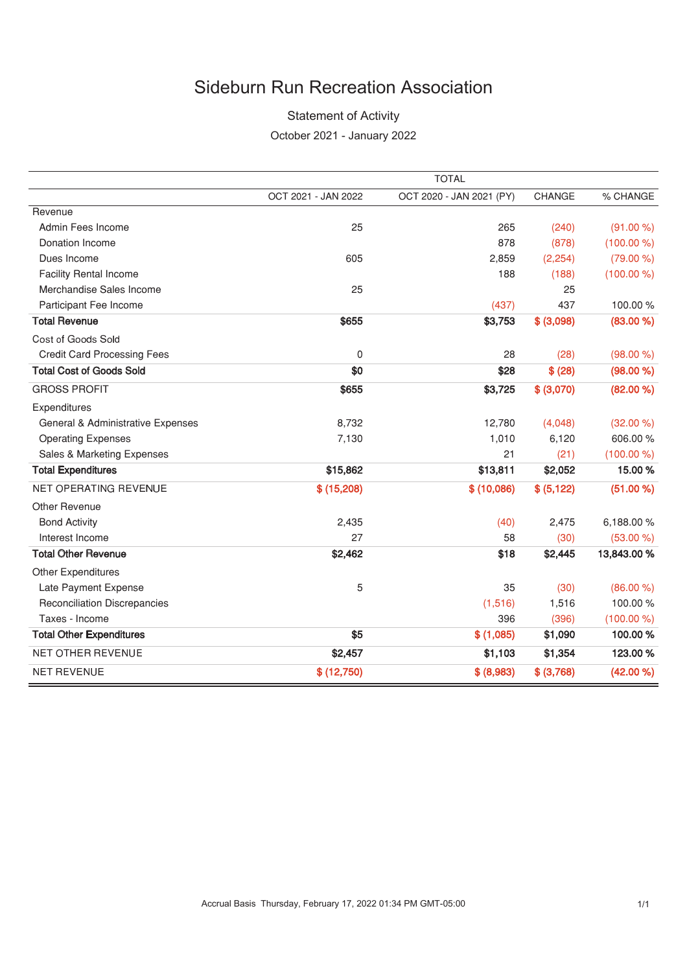# **Sideburn Run Recreation Association**

### **Statement of Activity**

October 2021 - January 2022

|                                     |                     | <b>TOTAL</b>             |             |             |
|-------------------------------------|---------------------|--------------------------|-------------|-------------|
|                                     | OCT 2021 - JAN 2022 | OCT 2020 - JAN 2021 (PY) | CHANGE      | % CHANGE    |
| Revenue                             |                     |                          |             |             |
| Admin Fees Income                   | 25                  | 265                      | (240)       | (91.00 %)   |
| <b>Donation Income</b>              |                     | 878                      | (878)       | (100.00 %)  |
| Dues Income                         | 605                 | 2,859                    | (2, 254)    | (79.00 %)   |
| <b>Facility Rental Income</b>       |                     | 188                      | (188)       | (100.00 %)  |
| Merchandise Sales Income            | 25                  |                          | 25          |             |
| Participant Fee Income              |                     | (437)                    | 437         | 100.00%     |
| <b>Total Revenue</b>                | \$655               | \$3,753                  | \$ (3,098)  | (83.00 %)   |
| Cost of Goods Sold                  |                     |                          |             |             |
| <b>Credit Card Processing Fees</b>  | 0                   | 28                       | (28)        | (98.00 %)   |
| <b>Total Cost of Goods Sold</b>     | \$0                 | \$28                     | \$ (28)     | (98.00 %)   |
| <b>GROSS PROFIT</b>                 | \$655               | \$3,725                  | \$ (3,070)  | (82.00 %)   |
| Expenditures                        |                     |                          |             |             |
| General & Administrative Expenses   | 8,732               | 12,780                   | (4,048)     | (32.00 %)   |
| <b>Operating Expenses</b>           | 7,130               | 1,010                    | 6,120       | 606.00%     |
| Sales & Marketing Expenses          |                     | 21                       | (21)        | (100.00 %)  |
| <b>Total Expenditures</b>           | \$15,862            | \$13,811                 | \$2,052     | 15.00%      |
| NET OPERATING REVENUE               | \$(15,208)          | \$(10,086)               | \$ (5, 122) | (51.00 %)   |
| Other Revenue                       |                     |                          |             |             |
| <b>Bond Activity</b>                | 2,435               | (40)                     | 2,475       | 6,188.00%   |
| Interest Income                     | 27                  | 58                       | (30)        | (53.00 %)   |
| <b>Total Other Revenue</b>          | \$2,462             | \$18                     | \$2,445     | 13,843.00 % |
| <b>Other Expenditures</b>           |                     |                          |             |             |
| Late Payment Expense                | 5                   | 35                       | (30)        | (86.00 %)   |
| <b>Reconciliation Discrepancies</b> |                     | (1,516)                  | 1,516       | 100.00%     |
| Taxes - Income                      |                     | 396                      | (396)       | (100.00 %)  |
| <b>Total Other Expenditures</b>     | \$5                 | \$(1,085)                | \$1,090     | 100.00%     |
| <b>NET OTHER REVENUE</b>            | \$2,457             | \$1,103                  | \$1,354     | 123.00%     |
| <b>NET REVENUE</b>                  | \$(12,750)          | \$ (8,983)               | \$ (3,768)  | (42.00 %)   |